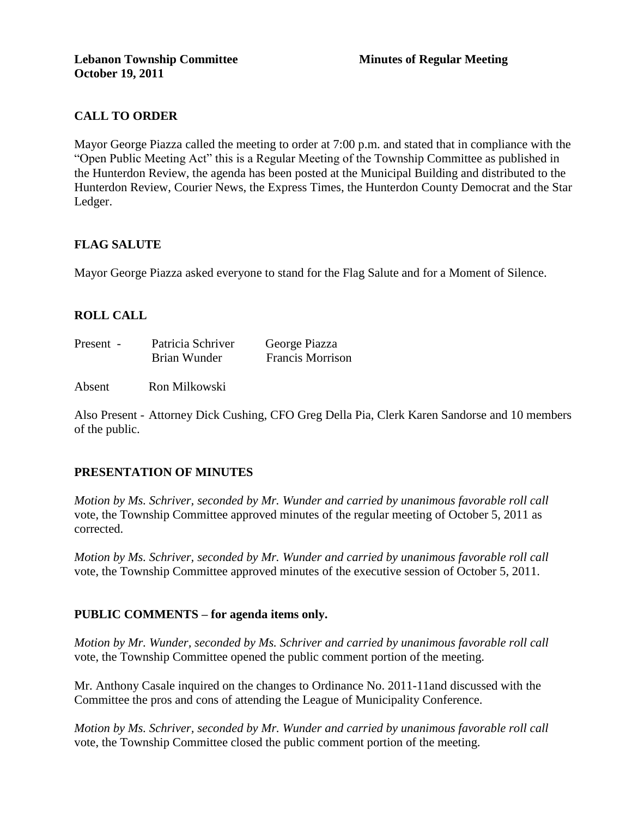## **CALL TO ORDER**

Mayor George Piazza called the meeting to order at 7:00 p.m. and stated that in compliance with the "Open Public Meeting Act" this is a Regular Meeting of the Township Committee as published in the Hunterdon Review, the agenda has been posted at the Municipal Building and distributed to the Hunterdon Review, Courier News, the Express Times, the Hunterdon County Democrat and the Star Ledger.

## **FLAG SALUTE**

Mayor George Piazza asked everyone to stand for the Flag Salute and for a Moment of Silence.

## **ROLL CALL**

| Present - | Patricia Schriver | George Piazza           |
|-----------|-------------------|-------------------------|
|           | Brian Wunder      | <b>Francis Morrison</b> |

Absent Ron Milkowski

Also Present - Attorney Dick Cushing, CFO Greg Della Pia, Clerk Karen Sandorse and 10 members of the public.

#### **PRESENTATION OF MINUTES**

*Motion by Ms. Schriver, seconded by Mr. Wunder and carried by unanimous favorable roll call*  vote, the Township Committee approved minutes of the regular meeting of October 5, 2011 as corrected.

*Motion by Ms. Schriver, seconded by Mr. Wunder and carried by unanimous favorable roll call*  vote, the Township Committee approved minutes of the executive session of October 5, 2011.

#### **PUBLIC COMMENTS – for agenda items only.**

*Motion by Mr. Wunder, seconded by Ms. Schriver and carried by unanimous favorable roll call*  vote, the Township Committee opened the public comment portion of the meeting.

Mr. Anthony Casale inquired on the changes to Ordinance No. 2011-11and discussed with the Committee the pros and cons of attending the League of Municipality Conference.

*Motion by Ms. Schriver, seconded by Mr. Wunder and carried by unanimous favorable roll call*  vote, the Township Committee closed the public comment portion of the meeting.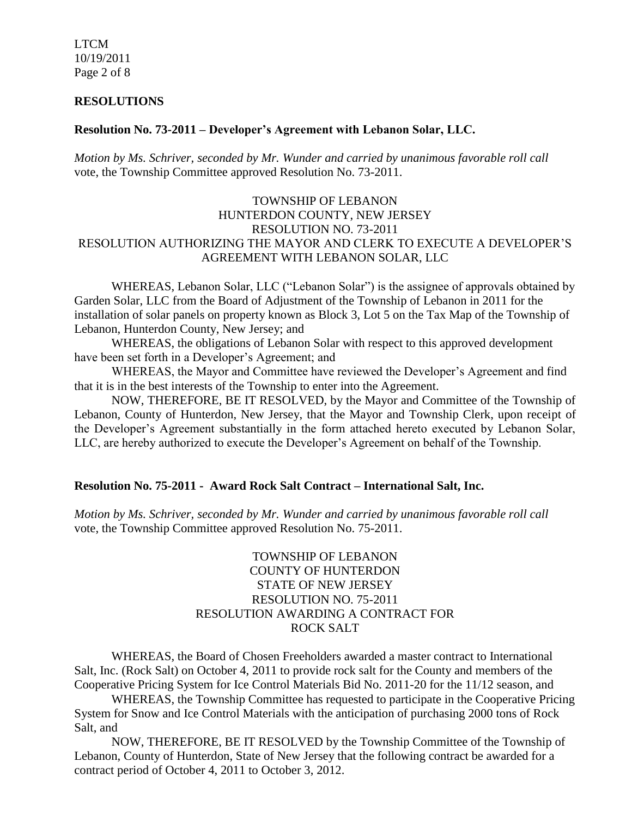LTCM 10/19/2011 Page 2 of 8

#### **RESOLUTIONS**

### **Resolution No. 73-2011 – Developer's Agreement with Lebanon Solar, LLC.**

*Motion by Ms. Schriver, seconded by Mr. Wunder and carried by unanimous favorable roll call*  vote, the Township Committee approved Resolution No. 73-2011.

## TOWNSHIP OF LEBANON HUNTERDON COUNTY, NEW JERSEY RESOLUTION NO. 73-2011 RESOLUTION AUTHORIZING THE MAYOR AND CLERK TO EXECUTE A DEVELOPER'S AGREEMENT WITH LEBANON SOLAR, LLC

WHEREAS, Lebanon Solar, LLC ("Lebanon Solar") is the assignee of approvals obtained by Garden Solar, LLC from the Board of Adjustment of the Township of Lebanon in 2011 for the installation of solar panels on property known as Block 3, Lot 5 on the Tax Map of the Township of Lebanon, Hunterdon County, New Jersey; and

WHEREAS, the obligations of Lebanon Solar with respect to this approved development have been set forth in a Developer's Agreement; and

WHEREAS, the Mayor and Committee have reviewed the Developer's Agreement and find that it is in the best interests of the Township to enter into the Agreement.

NOW, THEREFORE, BE IT RESOLVED, by the Mayor and Committee of the Township of Lebanon, County of Hunterdon, New Jersey, that the Mayor and Township Clerk, upon receipt of the Developer's Agreement substantially in the form attached hereto executed by Lebanon Solar, LLC, are hereby authorized to execute the Developer's Agreement on behalf of the Township.

#### **Resolution No. 75-2011 - Award Rock Salt Contract – International Salt, Inc.**

*Motion by Ms. Schriver, seconded by Mr. Wunder and carried by unanimous favorable roll call*  vote, the Township Committee approved Resolution No. 75-2011.

## TOWNSHIP OF LEBANON COUNTY OF HUNTERDON STATE OF NEW JERSEY RESOLUTION NO. 75-2011 RESOLUTION AWARDING A CONTRACT FOR ROCK SALT

WHEREAS, the Board of Chosen Freeholders awarded a master contract to International Salt, Inc. (Rock Salt) on October 4, 2011 to provide rock salt for the County and members of the Cooperative Pricing System for Ice Control Materials Bid No. 2011-20 for the 11/12 season, and

WHEREAS, the Township Committee has requested to participate in the Cooperative Pricing System for Snow and Ice Control Materials with the anticipation of purchasing 2000 tons of Rock Salt, and

NOW, THEREFORE, BE IT RESOLVED by the Township Committee of the Township of Lebanon, County of Hunterdon, State of New Jersey that the following contract be awarded for a contract period of October 4, 2011 to October 3, 2012.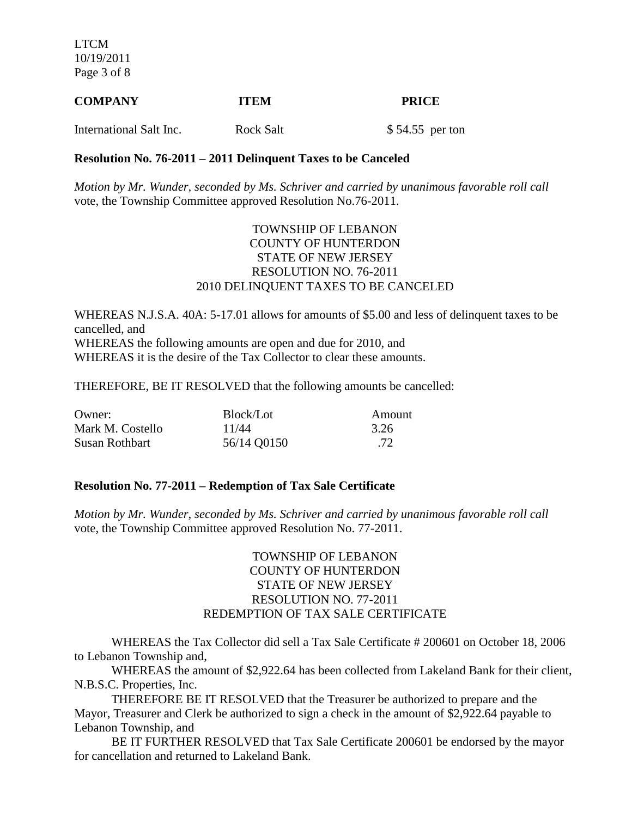LTCM 10/19/2011 Page 3 of 8

# **COMPANY ITEM PRICE** International Salt Inc. Rock Salt \$ 54.55 per ton

# **Resolution No. 76-2011 – 2011 Delinquent Taxes to be Canceled**

*Motion by Mr. Wunder, seconded by Ms. Schriver and carried by unanimous favorable roll call*  vote, the Township Committee approved Resolution No.76-2011.

#### TOWNSHIP OF LEBANON COUNTY OF HUNTERDON STATE OF NEW JERSEY RESOLUTION NO. 76-2011 2010 DELINQUENT TAXES TO BE CANCELED

WHEREAS N.J.S.A. 40A: 5-17.01 allows for amounts of \$5.00 and less of delinquent taxes to be cancelled, and WHEREAS the following amounts are open and due for 2010, and WHEREAS it is the desire of the Tax Collector to clear these amounts.

THEREFORE, BE IT RESOLVED that the following amounts be cancelled:

| Owner:           | Block/Lot   | Amount |
|------------------|-------------|--------|
| Mark M. Costello | 11/44       | 3.26   |
| Susan Rothbart   | 56/14 Q0150 | .72    |

#### **Resolution No. 77-2011 – Redemption of Tax Sale Certificate**

*Motion by Mr. Wunder, seconded by Ms. Schriver and carried by unanimous favorable roll call*  vote, the Township Committee approved Resolution No. 77-2011.

## TOWNSHIP OF LEBANON COUNTY OF HUNTERDON STATE OF NEW JERSEY RESOLUTION NO. 77-2011 REDEMPTION OF TAX SALE CERTIFICATE

WHEREAS the Tax Collector did sell a Tax Sale Certificate # 200601 on October 18, 2006 to Lebanon Township and,

WHEREAS the amount of \$2,922.64 has been collected from Lakeland Bank for their client, N.B.S.C. Properties, Inc.

THEREFORE BE IT RESOLVED that the Treasurer be authorized to prepare and the Mayor, Treasurer and Clerk be authorized to sign a check in the amount of \$2,922.64 payable to Lebanon Township, and

BE IT FURTHER RESOLVED that Tax Sale Certificate 200601 be endorsed by the mayor for cancellation and returned to Lakeland Bank.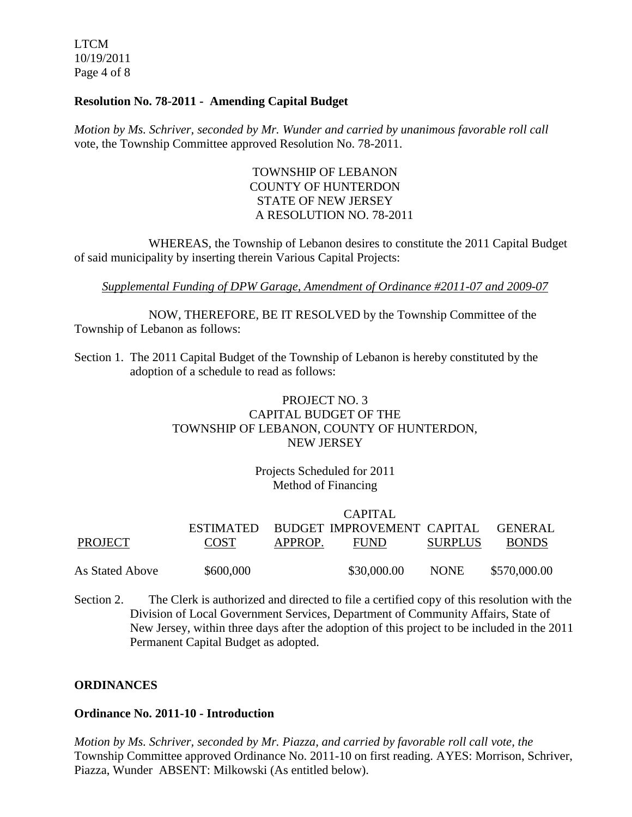LTCM 10/19/2011 Page 4 of 8

#### **Resolution No. 78-2011 - Amending Capital Budget**

*Motion by Ms. Schriver, seconded by Mr. Wunder and carried by unanimous favorable roll call*  vote, the Township Committee approved Resolution No. 78-2011.

## TOWNSHIP OF LEBANON COUNTY OF HUNTERDON STATE OF NEW JERSEY A RESOLUTION NO. 78-2011

WHEREAS, the Township of Lebanon desires to constitute the 2011 Capital Budget of said municipality by inserting therein Various Capital Projects:

*Supplemental Funding of DPW Garage, Amendment of Ordinance #2011-07 and 2009-07*

NOW, THEREFORE, BE IT RESOLVED by the Township Committee of the Township of Lebanon as follows:

Section 1. The 2011 Capital Budget of the Township of Lebanon is hereby constituted by the adoption of a schedule to read as follows:

## PROJECT NO. 3 CAPITAL BUDGET OF THE TOWNSHIP OF LEBANON, COUNTY OF HUNTERDON, NEW JERSEY

## Projects Scheduled for 2011 Method of Financing

|                 | CAPITAL     |         |                                      |                |                |  |
|-----------------|-------------|---------|--------------------------------------|----------------|----------------|--|
|                 |             |         | ESTIMATED BUDGET IMPROVEMENT CAPITAL |                | <b>GENERAL</b> |  |
| PROJECT         | <b>COST</b> | APPROP. | <b>FUND</b>                          | <b>SURPLUS</b> | <b>BONDS</b>   |  |
| As Stated Above | \$600,000   |         | \$30,000.00                          | <b>NONE</b>    | \$570,000.00   |  |

Section 2. The Clerk is authorized and directed to file a certified copy of this resolution with the Division of Local Government Services, Department of Community Affairs, State of New Jersey, within three days after the adoption of this project to be included in the 2011 Permanent Capital Budget as adopted.

## **ORDINANCES**

#### **Ordinance No. 2011-10 - Introduction**

*Motion by Ms. Schriver, seconded by Mr. Piazza, and carried by favorable roll call vote, the* Township Committee approved Ordinance No. 2011-10 on first reading. AYES: Morrison, Schriver, Piazza, Wunder ABSENT: Milkowski (As entitled below).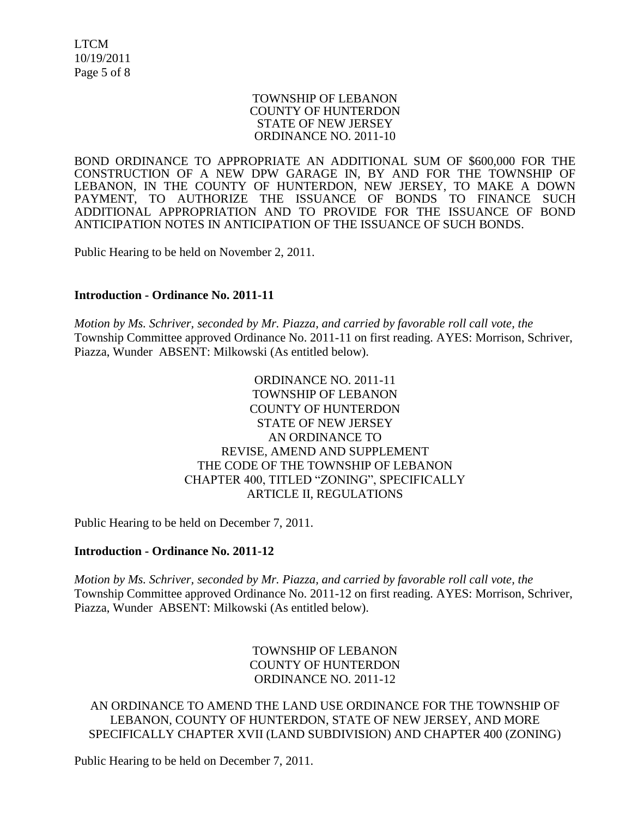LTCM 10/19/2011 Page 5 of 8

#### TOWNSHIP OF LEBANON COUNTY OF HUNTERDON STATE OF NEW JERSEY ORDINANCE NO. 2011-10

BOND ORDINANCE TO APPROPRIATE AN ADDITIONAL SUM OF \$600,000 FOR THE CONSTRUCTION OF A NEW DPW GARAGE IN, BY AND FOR THE TOWNSHIP OF LEBANON, IN THE COUNTY OF HUNTERDON, NEW JERSEY, TO MAKE A DOWN PAYMENT, TO AUTHORIZE THE ISSUANCE OF BONDS TO FINANCE SUCH ADDITIONAL APPROPRIATION AND TO PROVIDE FOR THE ISSUANCE OF BOND ANTICIPATION NOTES IN ANTICIPATION OF THE ISSUANCE OF SUCH BONDS.

Public Hearing to be held on November 2, 2011.

#### **Introduction - Ordinance No. 2011-11**

*Motion by Ms. Schriver, seconded by Mr. Piazza, and carried by favorable roll call vote, the* Township Committee approved Ordinance No. 2011-11 on first reading. AYES: Morrison, Schriver, Piazza, Wunder ABSENT: Milkowski (As entitled below).

## ORDINANCE NO. 2011-11 TOWNSHIP OF LEBANON COUNTY OF HUNTERDON STATE OF NEW JERSEY AN ORDINANCE TO REVISE, AMEND AND SUPPLEMENT THE CODE OF THE TOWNSHIP OF LEBANON CHAPTER 400, TITLED "ZONING", SPECIFICALLY ARTICLE II, REGULATIONS

Public Hearing to be held on December 7, 2011.

#### **Introduction - Ordinance No. 2011-12**

*Motion by Ms. Schriver, seconded by Mr. Piazza, and carried by favorable roll call vote, the* Township Committee approved Ordinance No. 2011-12 on first reading. AYES: Morrison, Schriver, Piazza, Wunder ABSENT: Milkowski (As entitled below).

> TOWNSHIP OF LEBANON COUNTY OF HUNTERDON ORDINANCE NO. 2011-12

AN ORDINANCE TO AMEND THE LAND USE ORDINANCE FOR THE TOWNSHIP OF LEBANON, COUNTY OF HUNTERDON, STATE OF NEW JERSEY, AND MORE SPECIFICALLY CHAPTER XVII (LAND SUBDIVISION) AND CHAPTER 400 (ZONING)

Public Hearing to be held on December 7, 2011.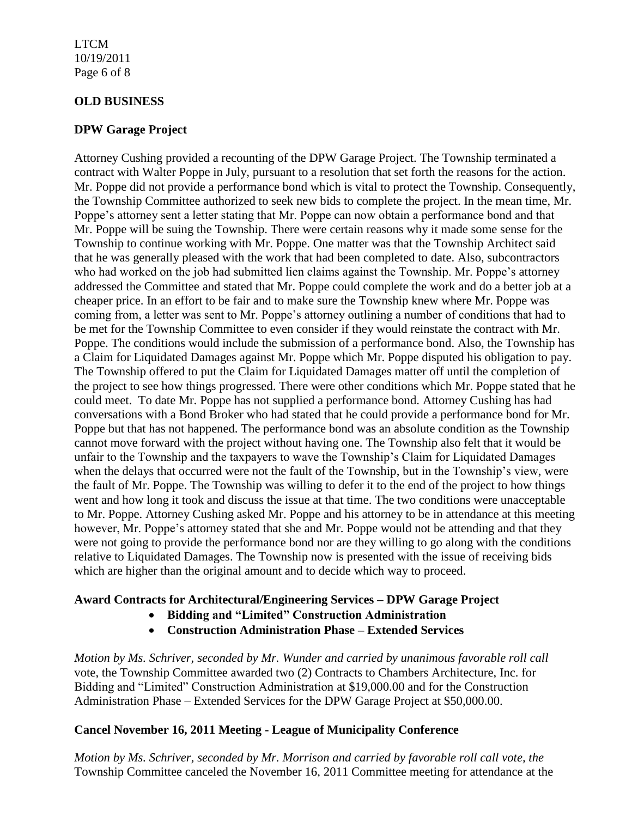### LTCM 10/19/2011 Page 6 of 8

## **OLD BUSINESS**

## **DPW Garage Project**

Attorney Cushing provided a recounting of the DPW Garage Project. The Township terminated a contract with Walter Poppe in July, pursuant to a resolution that set forth the reasons for the action. Mr. Poppe did not provide a performance bond which is vital to protect the Township. Consequently, the Township Committee authorized to seek new bids to complete the project. In the mean time, Mr. Poppe's attorney sent a letter stating that Mr. Poppe can now obtain a performance bond and that Mr. Poppe will be suing the Township. There were certain reasons why it made some sense for the Township to continue working with Mr. Poppe. One matter was that the Township Architect said that he was generally pleased with the work that had been completed to date. Also, subcontractors who had worked on the job had submitted lien claims against the Township. Mr. Poppe's attorney addressed the Committee and stated that Mr. Poppe could complete the work and do a better job at a cheaper price. In an effort to be fair and to make sure the Township knew where Mr. Poppe was coming from, a letter was sent to Mr. Poppe's attorney outlining a number of conditions that had to be met for the Township Committee to even consider if they would reinstate the contract with Mr. Poppe. The conditions would include the submission of a performance bond. Also, the Township has a Claim for Liquidated Damages against Mr. Poppe which Mr. Poppe disputed his obligation to pay. The Township offered to put the Claim for Liquidated Damages matter off until the completion of the project to see how things progressed. There were other conditions which Mr. Poppe stated that he could meet. To date Mr. Poppe has not supplied a performance bond. Attorney Cushing has had conversations with a Bond Broker who had stated that he could provide a performance bond for Mr. Poppe but that has not happened. The performance bond was an absolute condition as the Township cannot move forward with the project without having one. The Township also felt that it would be unfair to the Township and the taxpayers to wave the Township's Claim for Liquidated Damages when the delays that occurred were not the fault of the Township, but in the Township's view, were the fault of Mr. Poppe. The Township was willing to defer it to the end of the project to how things went and how long it took and discuss the issue at that time. The two conditions were unacceptable to Mr. Poppe. Attorney Cushing asked Mr. Poppe and his attorney to be in attendance at this meeting however, Mr. Poppe's attorney stated that she and Mr. Poppe would not be attending and that they were not going to provide the performance bond nor are they willing to go along with the conditions relative to Liquidated Damages. The Township now is presented with the issue of receiving bids which are higher than the original amount and to decide which way to proceed.

## **Award Contracts for Architectural/Engineering Services – DPW Garage Project**

- **Bidding and "Limited" Construction Administration**
- **Construction Administration Phase – Extended Services**

*Motion by Ms. Schriver, seconded by Mr. Wunder and carried by unanimous favorable roll call*  vote, the Township Committee awarded two (2) Contracts to Chambers Architecture, Inc. for Bidding and "Limited" Construction Administration at \$19,000.00 and for the Construction Administration Phase – Extended Services for the DPW Garage Project at \$50,000.00.

# **Cancel November 16, 2011 Meeting - League of Municipality Conference**

*Motion by Ms. Schriver, seconded by Mr. Morrison and carried by favorable roll call vote, the* Township Committee canceled the November 16, 2011 Committee meeting for attendance at the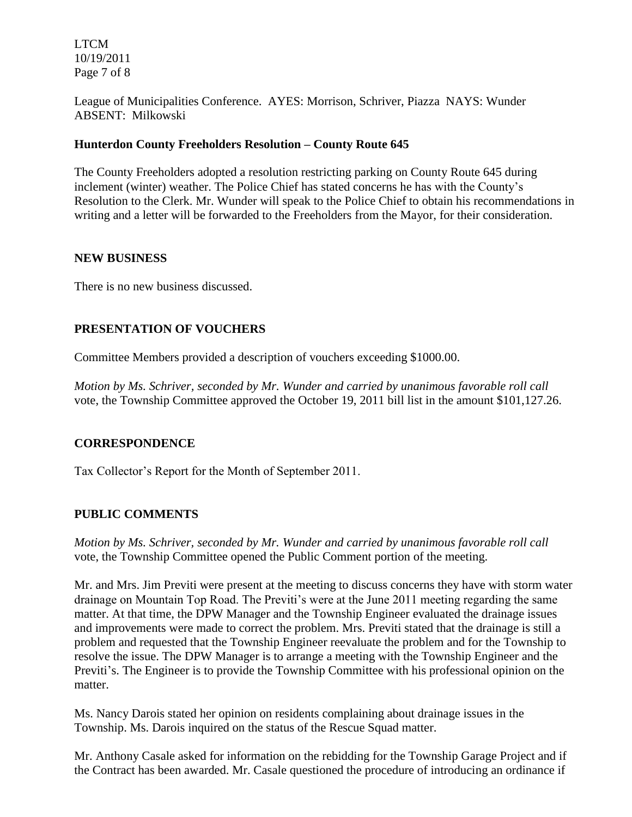LTCM 10/19/2011 Page 7 of 8

League of Municipalities Conference. AYES: Morrison, Schriver, Piazza NAYS: Wunder ABSENT: Milkowski

## **Hunterdon County Freeholders Resolution – County Route 645**

The County Freeholders adopted a resolution restricting parking on County Route 645 during inclement (winter) weather. The Police Chief has stated concerns he has with the County's Resolution to the Clerk. Mr. Wunder will speak to the Police Chief to obtain his recommendations in writing and a letter will be forwarded to the Freeholders from the Mayor, for their consideration.

## **NEW BUSINESS**

There is no new business discussed.

## **PRESENTATION OF VOUCHERS**

Committee Members provided a description of vouchers exceeding \$1000.00.

*Motion by Ms. Schriver, seconded by Mr. Wunder and carried by unanimous favorable roll call*  vote, the Township Committee approved the October 19, 2011 bill list in the amount \$101,127.26.

## **CORRESPONDENCE**

Tax Collector's Report for the Month of September 2011.

#### **PUBLIC COMMENTS**

*Motion by Ms. Schriver, seconded by Mr. Wunder and carried by unanimous favorable roll call*  vote, the Township Committee opened the Public Comment portion of the meeting.

Mr. and Mrs. Jim Previti were present at the meeting to discuss concerns they have with storm water drainage on Mountain Top Road. The Previti's were at the June 2011 meeting regarding the same matter. At that time, the DPW Manager and the Township Engineer evaluated the drainage issues and improvements were made to correct the problem. Mrs. Previti stated that the drainage is still a problem and requested that the Township Engineer reevaluate the problem and for the Township to resolve the issue. The DPW Manager is to arrange a meeting with the Township Engineer and the Previti's. The Engineer is to provide the Township Committee with his professional opinion on the matter.

Ms. Nancy Darois stated her opinion on residents complaining about drainage issues in the Township. Ms. Darois inquired on the status of the Rescue Squad matter.

Mr. Anthony Casale asked for information on the rebidding for the Township Garage Project and if the Contract has been awarded. Mr. Casale questioned the procedure of introducing an ordinance if